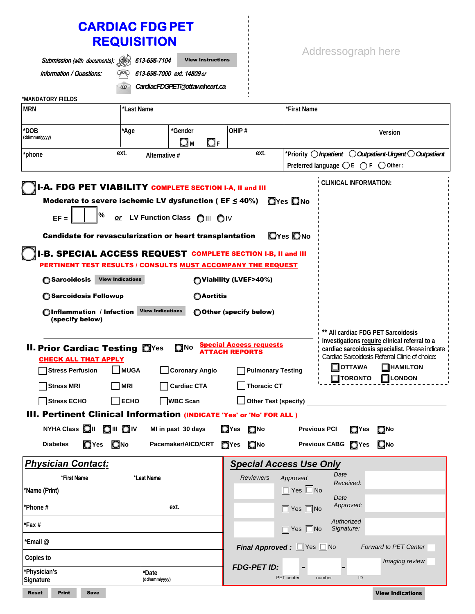# **CARDIAC FDG PET REQUISITION**

| Submission (with documents):                                                                                                                                                                                      | 613-696-7104                                                                    | <b>View Instructions</b>      |                                                                                     |                                     | Addressograph here                                                                |                                                                                                                                                                       |  |
|-------------------------------------------------------------------------------------------------------------------------------------------------------------------------------------------------------------------|---------------------------------------------------------------------------------|-------------------------------|-------------------------------------------------------------------------------------|-------------------------------------|-----------------------------------------------------------------------------------|-----------------------------------------------------------------------------------------------------------------------------------------------------------------------|--|
| Information / Questions:                                                                                                                                                                                          |                                                                                 | 613-696-7000 ext. 14809 or    |                                                                                     |                                     |                                                                                   |                                                                                                                                                                       |  |
|                                                                                                                                                                                                                   | $\omega$                                                                        | CardiacFDGPET@ottawaheart.ca  |                                                                                     |                                     |                                                                                   |                                                                                                                                                                       |  |
| *MANDATORY FIELDS<br><b>MRN</b>                                                                                                                                                                                   | *Last Name                                                                      |                               |                                                                                     | *First Name                         |                                                                                   |                                                                                                                                                                       |  |
|                                                                                                                                                                                                                   |                                                                                 |                               |                                                                                     |                                     |                                                                                   |                                                                                                                                                                       |  |
| *DOB<br>(dd/mmm/yyyy)                                                                                                                                                                                             | *Age                                                                            | *Gender<br>Ωм<br>$\bigcirc$ F | OHIP#                                                                               |                                     |                                                                                   | Version                                                                                                                                                               |  |
| ext.<br>*phone<br>Alternative #                                                                                                                                                                                   |                                                                                 |                               | ext.                                                                                |                                     | *Priority $\bigcirc$ Inpatient $\bigcirc$ Outpatient-Urgent $\bigcirc$ Outpatient |                                                                                                                                                                       |  |
|                                                                                                                                                                                                                   |                                                                                 |                               |                                                                                     |                                     | Preferred language $\bigcirc$ E $\bigcirc$ F $\bigcirc$ Other:                    |                                                                                                                                                                       |  |
| <b>I-A. FDG PET VIABILITY COMPLETE SECTION I-A, II and III</b><br>Moderate to severe ischemic LV dysfunction ( $EF \leq 40\%$ )<br>℅<br>$EF =$<br><b>Candidate for revascularization or heart transplantation</b> |                                                                                 | or LV Function Class OIII OIV |                                                                                     | <b>OYes ONo</b><br><b>O</b> Yes ONo | <b>CLINICAL INFORMATION:</b>                                                      |                                                                                                                                                                       |  |
| <b>I-B. SPECIAL ACCESS REQUEST COMPLETE SECTION I-B, II and III</b><br><b>PERTINENT TEST RESULTS / CONSULTS MUST ACCOMPANY THE REQUEST</b>                                                                        |                                                                                 |                               |                                                                                     |                                     |                                                                                   |                                                                                                                                                                       |  |
| ◯ Sarcoidosis                                                                                                                                                                                                     | <b>View Indications</b><br>(Viability (LVEF>40%)                                |                               |                                                                                     |                                     |                                                                                   |                                                                                                                                                                       |  |
| ◯ Sarcoidosis Followup<br>○Aortitis                                                                                                                                                                               |                                                                                 |                               |                                                                                     |                                     |                                                                                   |                                                                                                                                                                       |  |
| (specify below)                                                                                                                                                                                                   | <b>View Indications</b><br>OInflammation / Infection<br>O Other (specify below) |                               |                                                                                     |                                     |                                                                                   |                                                                                                                                                                       |  |
| <b>II. Prior Cardiac Testing OYes</b><br><b>CHECK ALL THAT APPLY</b><br><b>Stress Perfusion</b>                                                                                                                   | $\blacksquare$ MUGA                                                             | ONo<br>Coronary Angio         | <b>Special Access requests</b><br><b>ATTACH REPORTS</b><br><b>Pulmonary Testing</b> |                                     | ** All cardiac FDG PET Sarcoidosis<br><b>OTTAWA</b>                               | investigations require clinical referral to a<br>cardiac sarcoidosis specialist. Please indicate<br>Cardiac Sarcoidosis Referral Clinic of choice:<br><b>HAMILTON</b> |  |
| <b>Stress MRI</b>                                                                                                                                                                                                 | <b>MRI</b>                                                                      | <b>Cardiac CTA</b>            | Thoracic CT                                                                         |                                     | <b>TORONTO</b>                                                                    | <b>LONDON</b>                                                                                                                                                         |  |
| <b>Stress ECHO</b>                                                                                                                                                                                                | $\Box$ ECHO                                                                     | <b>WBC Scan</b>               | $\Box$ Other Test (specify)                                                         |                                     |                                                                                   |                                                                                                                                                                       |  |
| III. Pertinent Clinical Information (INDICATE 'Yes' or 'No' FOR ALL )                                                                                                                                             |                                                                                 |                               |                                                                                     |                                     |                                                                                   |                                                                                                                                                                       |  |
| NYHA Class <b>OII</b> OIII OIV                                                                                                                                                                                    |                                                                                 | MI in past 30 days            | $Q$ Yes $Q$ No                                                                      | <b>Previous PCI</b>                 | <b>O</b> Yes                                                                      | <b>ONO</b>                                                                                                                                                            |  |
| <b>O</b> Yes <b>ONo</b><br><b>Diabetes</b>                                                                                                                                                                        |                                                                                 | Pacemaker/AICD/CRT            | $\Box$ Yes<br>ONo                                                                   |                                     | Previous CABG TYes                                                                | ONo                                                                                                                                                                   |  |
| <b>Physician Contact:</b>                                                                                                                                                                                         |                                                                                 |                               | <b>Special Access Use Only</b>                                                      |                                     |                                                                                   |                                                                                                                                                                       |  |
| *First Name                                                                                                                                                                                                       | *Last Name                                                                      |                               | <b>Reviewers</b>                                                                    | Approved                            | Date<br>Received:                                                                 |                                                                                                                                                                       |  |
| *Name (Print)                                                                                                                                                                                                     |                                                                                 |                               |                                                                                     | $\Box$ Yes $\Box$ No                | Date                                                                              |                                                                                                                                                                       |  |
| *Phone #                                                                                                                                                                                                          |                                                                                 | ext.                          |                                                                                     | $\Box$ Yes $\Box$ No                | Approved:                                                                         |                                                                                                                                                                       |  |
| $*Fax#$                                                                                                                                                                                                           |                                                                                 |                               |                                                                                     | $\Box$ Yes $\Box$ No                | Authorized<br>Signature:                                                          |                                                                                                                                                                       |  |
| *Email @                                                                                                                                                                                                          |                                                                                 |                               | <b>Final Approved</b> : $\Box$ Yes $\Box$ No                                        |                                     |                                                                                   | Forward to PET Center                                                                                                                                                 |  |
| Copies to<br>'Physician's                                                                                                                                                                                         |                                                                                 |                               | <b>FDG-PET ID:</b>                                                                  |                                     |                                                                                   | Imaging review                                                                                                                                                        |  |
| Signature                                                                                                                                                                                                         | *Date<br>(dd/mmm/yyyy)                                                          |                               |                                                                                     | PET center                          | $\sf ID$<br>number                                                                |                                                                                                                                                                       |  |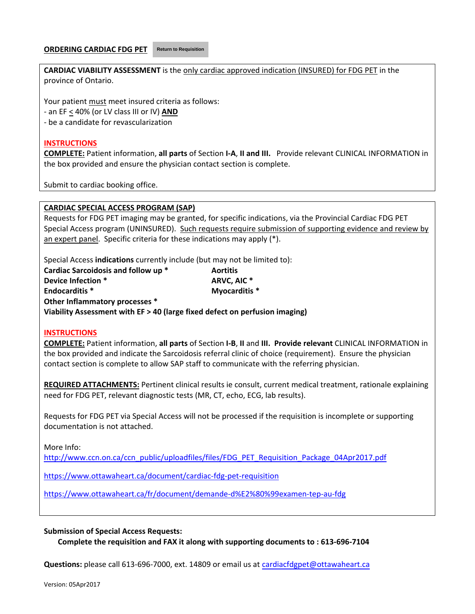#### **ORDERING CARDIAC FDG PET Return to Requisition**

**CARDIAC VIABILITY ASSESSMENT** is the only cardiac approved indication (INSURED) for FDG PET in the province of Ontario.

Your patient must meet insured criteria as follows:

- ‐ an EF < 40% (or LV class III or IV) **AND**
- ‐ be a candidate for revascularization

#### **INSTRUCTIONS**

**COMPLETE:** Patient information, **all parts** of Section **I‐A**, **II and III.** Provide relevant CLINICAL INFORMATION in the box provided and ensure the physician contact section is complete.

Submit to cardiac booking office.

#### **CARDIAC SPECIAL ACCESS PROGRAM (SAP)**

Requests for FDG PET imaging may be granted, for specific indications, via the Provincial Cardiac FDG PET Special Access program (UNINSURED). Such requests require submission of supporting evidence and review by an expert panel. Specific criteria for these indications may apply (\*).

Special Access **indications** currently include (but may not be limited to):

| Cardiac Sarcoidosis and follow up * | <b>Aortitis</b> |
|-------------------------------------|-----------------|
| Device Infection *                  | ARVC. AIC *     |
| <b>Endocarditis *</b>               | Myocarditis *   |
| Other Inflammatory processes *      |                 |

**Viability Assessment with EF > 40 (large fixed defect on perfusion imaging)** 

#### **INSTRUCTIONS**

**COMPLETE:** Patient information, **all parts** of Section **I‐B**, **II** and **III. Provide relevant** CLINICAL INFORMATION in the box provided and indicate the Sarcoidosis referral clinic of choice (requirement). Ensure the physician contact section is complete to allow SAP staff to communicate with the referring physician.

**REQUIRED ATTACHMENTS:** Pertinent clinical results ie consult, current medical treatment, rationale explaining need for FDG PET, relevant diagnostic tests (MR, CT, echo, ECG, lab results).

Requests for FDG PET via Special Access will not be processed if the requisition is incomplete or supporting documentation is not attached.

More Info:

http://www.ccn.on.ca/ccn\_public/uploadfiles/files/FDG\_PET\_Requisition\_Package\_04Apr2017.pdf

https://www.ottawaheart.ca/document/cardiac‐fdg‐pet‐requisition

https://www.ottawaheart.ca/fr/document/demande‐d%E2%80%99examen‐tep‐au‐fdg

#### **Submission of Special Access Requests:**

**Complete the requisition and FAX it along with supporting documents to : 613‐696‐7104**

**Questions:** please call 613‐696‐7000, ext. 14809 or email us at cardiacfdgpet@ottawaheart.ca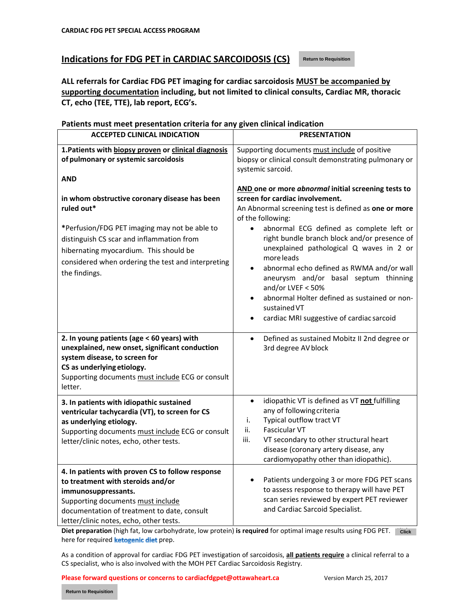#### **Indications for FDG PET in CARDIAC SARCOIDOSIS (CS)**

**Return to Requisition**

**ALL referrals for Cardiac FDG PET imaging for cardiac sarcoidosis MUST be accompanied by supporting documentation including, but not limited to clinical consults, Cardiac MR, thoracic CT, echo (TEE, TTE), lab report, ECG's.**

#### **ACCEPTED CLINICAL INDICATION PRESENTATION 1.Patients with biopsy proven or clinical diagnosis of pulmonary or systemic sarcoidosis AND in whom obstructive coronary disease has been ruled out\* \***Perfusion/FDG PET imaging may not be able to distinguish CS scar and inflammation from hibernating myocardium. This should be considered when ordering the test and interpreting the findings. Supporting documents must include of positive biopsy or clinical consult demonstrating pulmonary or systemic sarcoid. **AND one or more** *abnormal* **initial screening tests to screen for cardiac involvement.** An Abnormal screening test is defined as **one or more** of the following: abnormal ECG defined as complete left or right bundle branch block and/or presence of unexplained pathological Q waves in 2 or more leads abnormal echo defined as RWMA and/or wall aneurysm and/or basal septum thinning and/or LVEF < 50% ● abnormal Holter defined as sustained or nonsustainedVT cardiac MRI suggestive of cardiac sarcoid **2. In young patients (age < 60 years) with unexplained, new onset, significant conduction system disease, to screen for CS as underlying etiology.** Supporting documents must include ECG or consult letter. Defined as sustained Mobitz II 2nd degree or 3rd degree AVblock **3. In patients with idiopathic sustained ventricular tachycardia (VT), to screen for CS as underlying etiology.** Supporting documents must include ECG or consult letter/clinic notes, echo, other tests. idiopathic VT is defined as VT **not** fulfilling any of followingcriteria i. Typical outflow tract VT ii. Fascicular VT iii. VT secondary to other structural heart disease (coronary artery disease, any cardiomyopathy other than idiopathic). **4. In patients with proven CS to follow response to treatment with steroids and/or immunosuppressants.** Supporting documents must include documentation of treatment to date, consult letter/clinic notes, echo, other tests. • Patients undergoing 3 or more FDG PET scans to assess response to therapy will have PET scan series reviewed by expert PET reviewer and Cardiac Sarcoid Specialist.

**Patients must meet presentation criteria for any given clinical indication**

**Diet preparation** (high fat, low carbohydrate, low protein) **is required** for optimal image results using FDG PET. Click **Click** here for required **ketogenic diet** prep.

As a condition of approval for cardiac FDG PET investigation of sarcoidosis, **all patients require** a clinical referral to a CS specialist, who is also involved with the MOH PET Cardiac Sarcoidosis Registry.

**Please forward questions or concerns to cardiacfdgpet@ottawaheart.ca** Version March 25, 2017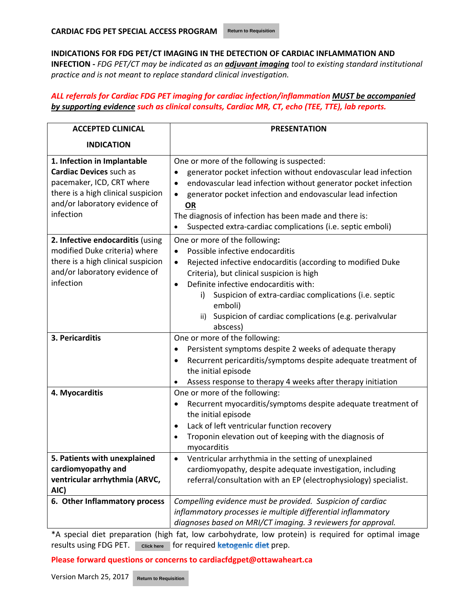**INDICATIONS FOR FDG PET/CT IMAGING IN THE DETECTION OF CARDIAC INFLAMMATION AND INFECTION ‐** *FDG PET/CT may be indicated as an adjuvant imaging tool to existing standard institutional practice and is not meant to replace standard clinical investigation.*

### *ALL referrals for Cardiac FDG PET imaging for cardiac infection/inflammation MUST be accompanied by supporting evidence such as clinical consults, Cardiac MR, CT, echo (TEE, TTE), lab reports.*

| <b>ACCEPTED CLINICAL</b>                                                                                                                                                       | <b>PRESENTATION</b>                                                                                                                                                                                                                                                                                                                                                                                         |  |
|--------------------------------------------------------------------------------------------------------------------------------------------------------------------------------|-------------------------------------------------------------------------------------------------------------------------------------------------------------------------------------------------------------------------------------------------------------------------------------------------------------------------------------------------------------------------------------------------------------|--|
| <b>INDICATION</b>                                                                                                                                                              |                                                                                                                                                                                                                                                                                                                                                                                                             |  |
| 1. Infection in Implantable<br><b>Cardiac Devices such as</b><br>pacemaker, ICD, CRT where<br>there is a high clinical suspicion<br>and/or laboratory evidence of<br>infection | One or more of the following is suspected:<br>generator pocket infection without endovascular lead infection<br>endovascular lead infection without generator pocket infection<br>$\bullet$<br>generator pocket infection and endovascular lead infection<br>$\bullet$<br><b>OR</b><br>The diagnosis of infection has been made and there is:<br>Suspected extra-cardiac complications (i.e. septic emboli) |  |
| 2. Infective endocarditis (using<br>modified Duke criteria) where<br>there is a high clinical suspicion<br>and/or laboratory evidence of<br>infection                          | One or more of the following:<br>Possible infective endocarditis<br>Rejected infective endocarditis (according to modified Duke<br>$\bullet$<br>Criteria), but clinical suspicion is high<br>Definite infective endocarditis with:<br>٠<br>Suspicion of extra-cardiac complications (i.e. septic<br>i)<br>emboli)<br>Suspicion of cardiac complications (e.g. perivalvular<br>ii)<br>abscess)               |  |
| 3. Pericarditis                                                                                                                                                                | One or more of the following:<br>Persistent symptoms despite 2 weeks of adequate therapy<br>Recurrent pericarditis/symptoms despite adequate treatment of<br>٠<br>the initial episode<br>Assess response to therapy 4 weeks after therapy initiation<br>٠                                                                                                                                                   |  |
| 4. Myocarditis                                                                                                                                                                 | One or more of the following:<br>Recurrent myocarditis/symptoms despite adequate treatment of<br>٠<br>the initial episode<br>Lack of left ventricular function recovery<br>٠<br>Troponin elevation out of keeping with the diagnosis of<br>$\bullet$<br>myocarditis                                                                                                                                         |  |
| 5. Patients with unexplained<br>cardiomyopathy and<br>ventricular arrhythmia (ARVC,<br>AIC)<br>6. Other Inflammatory process                                                   | Ventricular arrhythmia in the setting of unexplained<br>$\bullet$<br>cardiomyopathy, despite adequate investigation, including<br>referral/consultation with an EP (electrophysiology) specialist.<br>Compelling evidence must be provided. Suspicion of cardiac                                                                                                                                            |  |
|                                                                                                                                                                                | inflammatory processes ie multiple differential inflammatory<br>diagnoses based on MRI/CT imaging. 3 reviewers for approval.                                                                                                                                                                                                                                                                                |  |

\*A special diet preparation (high fat, low carbohydrate, low protein) is required for optimal image results using FDG PET. click here for required **ketogenic diet** prep.

**Please forward questions or concerns to cardiacfdgpet@ottawaheart.ca Return to Requisition**<br>**Return to Requisition** 

Version March 25, 2017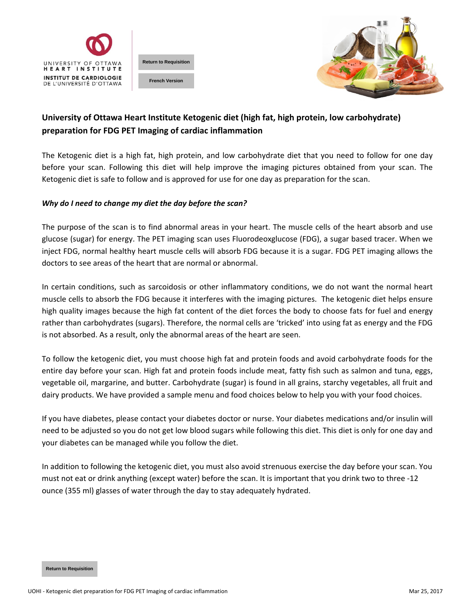



## **University of Ottawa Heart Institute Ketogenic diet (high fat, high protein, low carbohydrate) preparation for FDG PET Imaging of cardiac inflammation**

The Ketogenic diet is a high fat, high protein, and low carbohydrate diet that you need to follow for one day before your scan. Following this diet will help improve the imaging pictures obtained from your scan. The Ketogenic diet is safe to follow and is approved for use for one day as preparation for the scan.

#### *Why do I need to change my diet the day before the scan?*

The purpose of the scan is to find abnormal areas in your heart. The muscle cells of the heart absorb and use glucose (sugar) for energy. The PET imaging scan uses Fluorodeoxglucose (FDG), a sugar based tracer. When we inject FDG, normal healthy heart muscle cells will absorb FDG because it is a sugar. FDG PET imaging allows the doctors to see areas of the heart that are normal or abnormal.

In certain conditions, such as sarcoidosis or other inflammatory conditions, we do not want the normal heart muscle cells to absorb the FDG because it interferes with the imaging pictures. The ketogenic diet helps ensure high quality images because the high fat content of the diet forces the body to choose fats for fuel and energy rather than carbohydrates (sugars). Therefore, the normal cells are 'tricked' into using fat as energy and the FDG is not absorbed. As a result, only the abnormal areas of the heart are seen. **Return to Requisition French Version**

To follow the ketogenic diet, you must choose high fat and protein foods and avoid carbohydrate foods for the entire day before your scan. High fat and protein foods include meat, fatty fish such as salmon and tuna, eggs, vegetable oil, margarine, and butter. Carbohydrate (sugar) is found in all grains, starchy vegetables, all fruit and dairy products. We have provided a sample menu and food choices below to help you with your food choices.

If you have diabetes, please contact your diabetes doctor or nurse. Your diabetes medications and/or insulin will need to be adjusted so you do not get low blood sugars while following this diet. This diet is only for one day and your diabetes can be managed while you follow the diet.

In addition to following the ketogenic diet, you must also avoid strenuous exercise the day before your scan. You must not eat or drink anything (except water) before the scan. It is important that you drink two to three ‐12 ounce (355 ml) glasses of water through the day to stay adequately hydrated.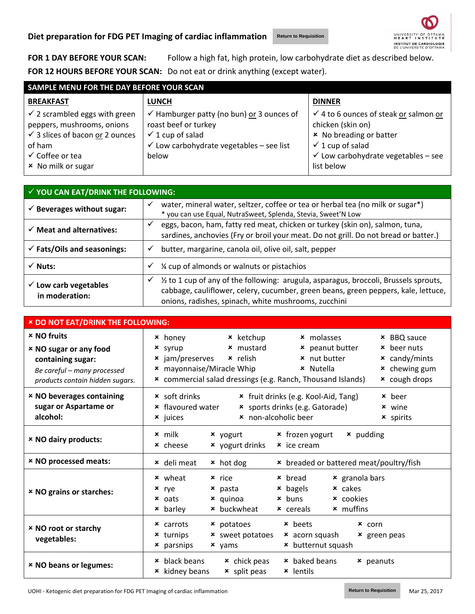**Return to Requisition**



**FOR 1 DAY BEFORE YOUR SCAN:** Follow a high fat, high protein, low carbohydrate diet as described below. **FOR 12 HOURS BEFORE YOUR SCAN:** Do not eat or drink anything (except water).

| SAMPLE MENU FOR THE DAY BEFORE YOUR SCAN   |                                                      |                                                  |  |
|--------------------------------------------|------------------------------------------------------|--------------------------------------------------|--|
| <b>BREAKFAST</b>                           | <b>LUNCH</b>                                         | <b>DINNER</b>                                    |  |
| $\checkmark$ 2 scrambled eggs with green   | $\checkmark$ Hamburger patty (no bun) or 3 ounces of | $\checkmark$ 4 to 6 ounces of steak or salmon or |  |
| peppers, mushrooms, onions                 | roast beef or turkey                                 | chicken (skin on)                                |  |
| $\checkmark$ 3 slices of bacon or 2 ounces | $\checkmark$ 1 cup of salad                          | × No breading or batter                          |  |
| of ham                                     | $\checkmark$ Low carbohydrate vegetables - see list  | $\checkmark$ 1 cup of salad                      |  |
| $\checkmark$ Coffee or tea                 | below                                                | $\checkmark$ Low carbohydrate vegetables - see   |  |
| × No milk or sugar                         |                                                      | list below                                       |  |
|                                            |                                                      |                                                  |  |

| $\checkmark$ YOU CAN EAT/DRINK THE FOLLOWING:      |                                                                                                                                                                                                                                          |  |
|----------------------------------------------------|------------------------------------------------------------------------------------------------------------------------------------------------------------------------------------------------------------------------------------------|--|
| $\checkmark$ Beverages without sugar:              | water, mineral water, seltzer, coffee or tea or herbal tea (no milk or sugar*)<br>* you can use Equal, NutraSweet, Splenda, Stevia, Sweet'N Low                                                                                          |  |
| $\checkmark$ Meat and alternatives:                | eggs, bacon, ham, fatty red meat, chicken or turkey (skin on), salmon, tuna,<br>sardines, anchovies (Fry or broil your meat. Do not grill. Do not bread or batter.)                                                                      |  |
| $\checkmark$ Fats/Oils and seasonings:             | butter, margarine, canola oil, olive oil, salt, pepper<br>✓                                                                                                                                                                              |  |
| $\checkmark$ Nuts:                                 | 1/4 cup of almonds or walnuts or pistachios                                                                                                                                                                                              |  |
| $\checkmark$ Low carb vegetables<br>in moderation: | 1/2 to 1 cup of any of the following: arugula, asparagus, broccoli, Brussels sprouts,<br>✓<br>cabbage, cauliflower, celery, cucumber, green beans, green peppers, kale, lettuce,<br>onions, radishes, spinach, white mushrooms, zucchini |  |

| <b>× DO NOT EAT/DRINK THE FOLLOWING:</b>                                                                                                   |                                                                                                                                                                                                                                                                                                                                                                                                 |  |
|--------------------------------------------------------------------------------------------------------------------------------------------|-------------------------------------------------------------------------------------------------------------------------------------------------------------------------------------------------------------------------------------------------------------------------------------------------------------------------------------------------------------------------------------------------|--|
| <b>× NO fruits</b><br><b>× NO sugar or any food</b><br>containing sugar:<br>Be careful - many processed<br>products contain hidden sugars. | <b>*</b> honey<br>* ketchup<br>$\times$ molasses<br><b>*</b> BBQ sauce<br><b>*</b> mustard<br><b>*</b> peanut butter<br>* beer nuts<br>$x$ syrup<br>$\star$ jam/preserves<br><b>x</b> nut butter<br>× relish<br>$x$ candy/mints<br><b>*</b> chewing gum<br><b>*</b> mayonnaise/Miracle Whip<br>× Nutella<br>* commercial salad dressings (e.g. Ranch, Thousand Islands)<br><b>*</b> cough drops |  |
| <b>× NO beverages containing</b><br>sugar or Aspartame or<br>alcohol:                                                                      | * fruit drinks (e.g. Kool-Aid, Tang)<br><b>*</b> soft drinks<br><b>*</b> beer<br>* flavoured water<br>* sports drinks (e.g. Gatorade)<br><b>x</b> wine<br>* non-alcoholic beer<br><b>*</b> juices<br><b>*</b> spirits                                                                                                                                                                           |  |
| <b>× NO dairy products:</b>                                                                                                                | $x$ milk<br>* frozen yogurt<br><b>*</b> pudding<br>× yogurt<br>× yogurt drinks<br><b>*</b> cheese<br>$\star$ ice cream                                                                                                                                                                                                                                                                          |  |
| <b>× NO processed meats:</b>                                                                                                               | * deli meat<br>* hot dog<br>* breaded or battered meat/poultry/fish                                                                                                                                                                                                                                                                                                                             |  |
| <b>× NO grains or starches:</b>                                                                                                            | $\times$ granola bars<br><b>x</b> wheat<br>$x$ rice<br>$\times$ bread<br><b>*</b> bagels<br>$\times$ cakes<br>$\times$ pasta<br>$x$ rye<br>$x_{\text{buns}}$<br>× quinoa<br><b>*</b> cookies<br>$\times$ oats<br><b>*</b> buckwheat<br><b>*</b> muffins<br><b>*</b> barley<br>$\times$ cereals                                                                                                  |  |
| <b>× NO root or starchy</b><br>vegetables:                                                                                                 | <b>*</b> beets<br>$\times$ carrots<br><b>×</b> potatoes<br>$x$ corn<br><b>x</b> sweet potatoes<br>$\times$ acorn squash<br><b>*</b> turnips<br><b>*</b> green peas<br>* butternut squash<br><b>*</b> parsnips<br>$x$ yams                                                                                                                                                                       |  |
| <b>× NO beans or legumes:</b>                                                                                                              | <b>*</b> black beans<br><b>*</b> baked beans<br>$\star$ chick peas<br>$x$ peanuts<br><b>*</b> kidney beans<br>$\star$ split peas<br><b>*</b> lentils                                                                                                                                                                                                                                            |  |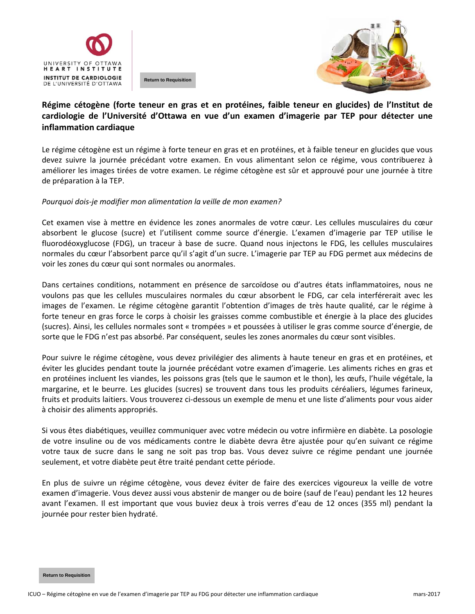

**Return to Requisition**



## **Régime cétogène (forte teneur en gras et en protéines, faible teneur en glucides) de l'Institut de cardiologie de l'Université d'Ottawa en vue d'un examen d'imagerie par TEP pour détecter une inflammation cardiaque**

Le régime cétogène est un régime à forte teneur en gras et en protéines, et à faible teneur en glucides que vous devez suivre la journée précédant votre examen. En vous alimentant selon ce régime, vous contribuerez à améliorer les images tirées de votre examen. Le régime cétogène est sûr et approuvé pour une journée à titre de préparation à la TEP.

#### *Pourquoi dois‐je modifier mon alimentation la veille de mon examen?*

Cet examen vise à mettre en évidence les zones anormales de votre cœur. Les cellules musculaires du cœur absorbent le glucose (sucre) et l'utilisent comme source d'énergie. L'examen d'imagerie par TEP utilise le fluorodéoxyglucose (FDG), un traceur à base de sucre. Quand nous injectons le FDG, les cellules musculaires normales du cœur l'absorbent parce qu'il s'agit d'un sucre. L'imagerie par TEP au FDG permet aux médecins de voir les zones du cœur qui sont normales ou anormales.

Dans certaines conditions, notamment en présence de sarcoïdose ou d'autres états inflammatoires, nous ne voulons pas que les cellules musculaires normales du cœur absorbent le FDG, car cela interférerait avec les images de l'examen. Le régime cétogène garantit l'obtention d'images de très haute qualité, car le régime à forte teneur en gras force le corps à choisir les graisses comme combustible et énergie à la place des glucides (sucres). Ainsi, les cellules normales sont « trompées » et poussées à utiliser le gras comme source d'énergie, de sorte que le FDG n'est pas absorbé. Par conséquent, seules les zones anormales du cœur sont visibles.

Pour suivre le régime cétogène, vous devez privilégier des aliments à haute teneur en gras et en protéines, et éviter les glucides pendant toute la journée précédant votre examen d'imagerie. Les aliments riches en gras et en protéines incluent les viandes, les poissons gras (tels que le saumon et le thon), les œufs, l'huile végétale, la margarine, et le beurre. Les glucides (sucres) se trouvent dans tous les produits céréaliers, légumes farineux, fruits et produits laitiers. Vous trouverez ci‐dessous un exemple de menu et une liste d'aliments pour vous aider à choisir des aliments appropriés.

Si vous êtes diabétiques, veuillez communiquer avec votre médecin ou votre infirmière en diabète. La posologie de votre insuline ou de vos médicaments contre le diabète devra être ajustée pour qu'en suivant ce régime votre taux de sucre dans le sang ne soit pas trop bas. Vous devez suivre ce régime pendant une journée seulement, et votre diabète peut être traité pendant cette période.

En plus de suivre un régime cétogène, vous devez éviter de faire des exercices vigoureux la veille de votre examen d'imagerie. Vous devez aussi vous abstenir de manger ou de boire (sauf de l'eau) pendant les 12 heures avant l'examen. Il est important que vous buviez deux à trois verres d'eau de 12 onces (355 ml) pendant la journée pour rester bien hydraté.

**Return to Requisition**